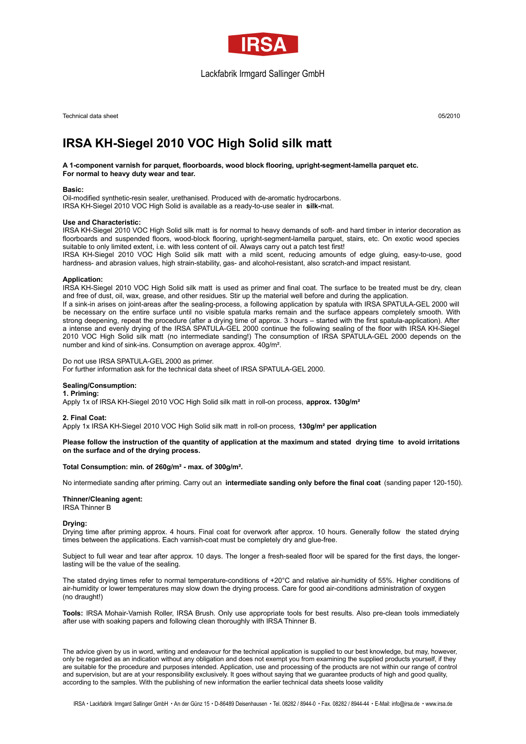

# Lackfabrik Irmgard Sallinger GmbH

Technical data sheet 05/2010

# **IRSA KH-Siegel 2010 VOC High Solid silk matt**

# **A 1-component varnish for parquet, floorboards, wood block flooring, upright-segment-lamella parquet etc. For normal to heavy duty wear and tear.**

## **Basic:**

Oil-modified synthetic-resin sealer, urethanised. Produced with de-aromatic hydrocarbons. IRSA KH-Siegel 2010 VOC High Solid is available as a ready-to-use sealer in **silk-**mat.

# **Use and Characteristic:**

IRSA KH-Siegel 2010 VOC High Solid silk matt is for normal to heavy demands of soft- and hard timber in interior decoration as floorboards and suspended floors, wood-block flooring, upright-segment-lamella parquet, stairs, etc. On exotic wood species suitable to only limited extent, i.e. with less content of oil. Always carry out a patch test first!

IRSA KH-Siegel 2010 VOC High Solid silk matt with a mild scent, reducing amounts of edge gluing, easy-to-use, good hardness- and abrasion values, high strain-stability, gas- and alcohol-resistant, also scratch-and impact resistant.

### **Application:**

IRSA KH-Siegel 2010 VOC High Solid silk matt is used as primer and final coat. The surface to be treated must be dry, clean and free of dust, oil, wax, grease, and other residues. Stir up the material well before and during the application. If a sink-in arises on joint-areas after the sealing-process, a following application by spatula with IRSA SPATULA-GEL 2000 will be necessary on the entire surface until no visible spatula marks remain and the surface appears completely smooth. With

strong deepening, repeat the procedure (after a drying time of approx. 3 hours – started with the first spatula-application). After a intense and evenly drying of the IRSA SPATULA-GEL 2000 continue the following sealing of the floor with IRSA KH-Siegel 2010 VOC High Solid silk matt (no intermediate sanding!) The consumption of IRSA SPATULA-GEL 2000 depends on the number and kind of sink-ins. Consumption on average approx. 40g/m².

Do not use IRSA SPATULA-GEL 2000 as primer.

For further information ask for the technical data sheet of IRSA SPATULA-GEL 2000.

# **Sealing/Consumption:**

**1. Priming:**

Apply 1x of IRSA KH-Siegel 2010 VOC High Solid silk matt in roll-on process, **approx. 130g/m²**

**2. Final Coat:**

Apply 1x IRSA KH-Siegel 2010 VOC High Solid silk matt in roll-on process, **130g/m² per application**

Please follow the instruction of the quantity of application at the maximum and stated drying time to avoid irritations **on the surface and of the drying process.**

**Total Consumption: min. of 260g/m² - max. of 300g/m².**

No intermediate sanding after priming. Carry out an **intermediate sanding only before the final coat** (sanding paper 120-150).

**Thinner/Cleaning agent:**

IRSA Thinner B

**Drying:**

Drying time after priming approx. 4 hours. Final coat for overwork after approx. 10 hours. Generally follow the stated drying times between the applications. Each varnish-coat must be completely dry and glue-free.

Subject to full wear and tear after approx. 10 days. The longer a fresh-sealed floor will be spared for the first days, the longerlasting will be the value of the sealing.

The stated drying times refer to normal temperature-conditions of +20°C and relative air-humidity of 55%. Higher conditions of air-humidity or lower temperatures may slow down the drying process. Care for good air-conditions administration of oxygen (no draught!)

**Tools:** IRSA Mohair-Varnish Roller, IRSA Brush. Only use appropriate tools for best results. Also pre-clean tools immediately after use with soaking papers and following clean thoroughly with IRSA Thinner B.

The advice given by us in word, writing and endeavour for the technical application is supplied to our best knowledge, but may, however, only be regarded as an indication without any obligation and does not exempt you from examining the supplied products yourself, if they are suitable for the procedure and purposes intended. Application, use and processing of the products are not within our range of control and supervision, but are at your responsibility exclusively. It goes without saying that we guarantee products of high and good quality, according to the samples. With the publishing of new information the earlier technical data sheets loose validity

IRSA · Lackfabrik Irmgard Sallinger GmbH · An der Günz 15 · D-86489 Deisenhausen · Tel. 08282 / 8944-0 · Fax. 08282 / 8944-44 · E-Mail: info@irsa.de · www.irsa.de